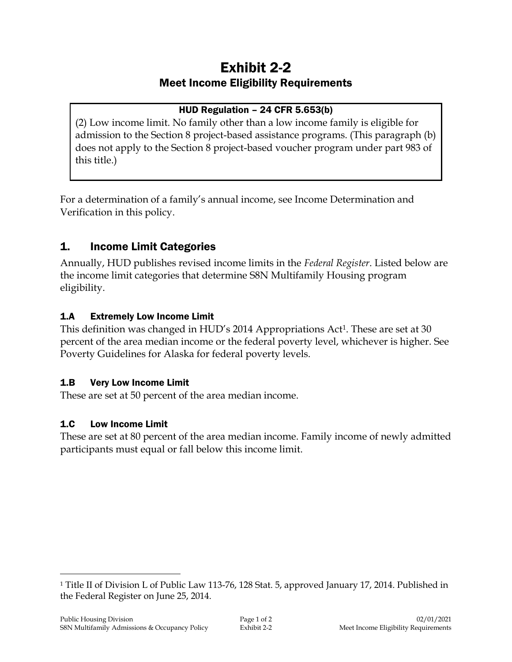# Exhibit 2-2 Meet Income Eligibility Requirements

### HUD Regulation – 24 CFR 5.653(b)

(2) Low income limit. No family other than a low income family is eligible for admission to the Section 8 project-based assistance programs. (This paragraph (b) does not apply to the Section 8 project-based voucher program under part 983 of this title.)

For a determination of a family's annual income, see Income Determination and Verification in this policy.

# 1. Income Limit Categories

Annually, HUD publishes revised income limits in the *Federal Register*. Listed below are the income limit categories that determine S8N Multifamily Housing program eligibility.

### 1.A Extremely Low Income Limit

This definition was changed in HUD's 2014 Appropriations Act<sup>1</sup>. These are set at 30 percent of the area median income or the federal poverty level, whichever is higher. See Poverty Guidelines for Alaska for federal poverty levels.

### 1.B Very Low Income Limit

These are set at 50 percent of the area median income.

### 1.C Low Income Limit

 $\overline{a}$ 

These are set at 80 percent of the area median income. Family income of newly admitted participants must equal or fall below this income limit.

<sup>1</sup> Title II of Division L of Public Law 113-76, 128 Stat. 5, approved January 17, 2014. Published in the Federal Register on June 25, 2014.